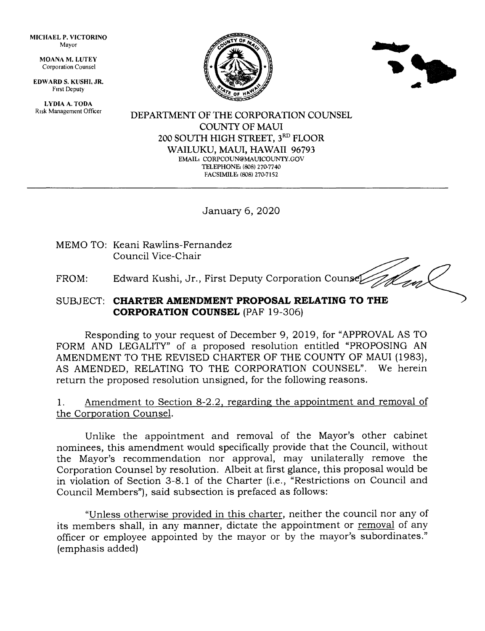MICHAEL P. VICTORINO Mayor

> MOANA M, LUTEY Corporation Counsel

EDWARD S. KUSHI, JR. Frrst Deputy

LYDIA A. TODA Risk Management Officer





DEPARTMENT OF THE CORPORATION COLINSEL COUNTY OF MAUI 200 SOUTH HIGH STREET, 3RD FLOOR WAILUKU, MAUI, HAWAII 96793 EMAIL: CORPCOUN@MAUICOUNTY.GOV TELEPHONE: (808) 270-7740 FACSIMILE (808) 27O7I52

January 6,2020

MEMO TO: Keani Rawlins-Fernandez Council Vice-Chair

FROM: Edward Kushi, Jr., First Deputy Corporation Counsel

## SUBJECT: CHARTER AMENDMENT PROPOSAL RELATING TO THE **CORPORATION COUNSEL (PAF 19-306)**

Responding to your request of December 9, 2019, for "APPROVAL AS TO FORM AND LEGALITY" of a proposed resolution entitled "PROPOSING AN AMENDMENT TO THE REVISED CHARTER OF THE COUNTY OF MAUI (1983), AS AMENDED, RELATING TO THE CORPORATION COUNSEL". We herein return the proposed resolution unsigned, for the following reasons.

1. Amendment to Section 8-2.2, regarding the appointment and removal of the Corporation Counsel.

Unlike the appointment and removal of the Mayor's other cabinet nominees, this amendment would specifically provide that the Council, without the Mayor's recommendation nor approval, may unilaterally remove the Corporation Counsel by resolution. Albeit at first glance, this proposal would be in violation of Section 3-8.1 of the Charter (i.e., "Restrictions on Council and Council Members"), said subsection is prefaced as follows:

"Unless otherwise provided in this charter, neither the council nor any of its members shall, in any manner, dictate the appointment or removal of any officer or employee appointed by the mayor or by the mayor's subordinates." (emphasis added)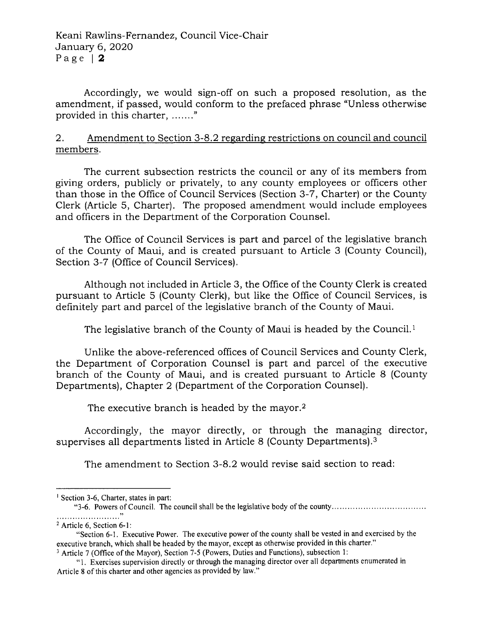Accordingly, we would sign-off on such a proposed resolution, as the amendment, if passed, would conform to the prefaced phrase "Unless otherwise provided in this charter, ......."

2. Amendment to Section 3-8.2 regarding restrictions on council members.

The current subsection restricts the council or any of its members from giving orders, publicly or privately, to any county employees or officers other than those in the Office of Council Services (Section 3-7, Charter) or the County Clerk (Article 5, Charter). The proposed amendment would include employees and officers in the Department of the Corporation Counsel.

The Office of Council Services is part and parcel of the legislative branch of the County of Maui, and is created pursuant to Article 3 (County Council), Section 3-7 (Office of Council Services).

Although not included in Article 3, the Office of the County C1erk is created pursuant to Article 5 (County Clerk), but like the Office of Council Services, is definitely part and parcel of the legislative branch of the County of Maui.

The legislative branch of the County of Maui is headed by the Council.<sup>1</sup>

Unlike the above-referenced offices of Council Services and County Clerk, the Department of Corporation Counsel is part and parcel of the executive branch of the County of Maui, and is created pursuant to Article 8 (County Departments), Chapter 2 (Department of the Corporation Counsel).

The executive branch is headed by the mayor.<sup>2</sup>

Accordingly, the mayor directly, or through the managing director, supervises all departments listed in Article 8 (County Departments).<sup>3</sup>

The amendment to Section 3-8.2 would revise said section to read:

"3-6. Powers of Council. The council shall be the legislative body of the county

<sup>&</sup>lt;sup>1</sup> Section 3-6, Charter, states in part:

<sup>2</sup>Article 6, Section 6-l:

<sup>&</sup>quot;Section 6-1. Executive Power. The executive power of the county shall be vested in and exercised by the executive branch, which shall be headed by the mayor, except as otherwise provided in this charter." <sup>3</sup> Article 7 (Office of the Mayor), Section 7-5 (Powers, Duties and Functions), subsection 1:

<sup>&</sup>quot; l. Exercises supervision directly or through the managing director over all departments enumerated in

Article 8 of this charter and other agencies as provided by law."